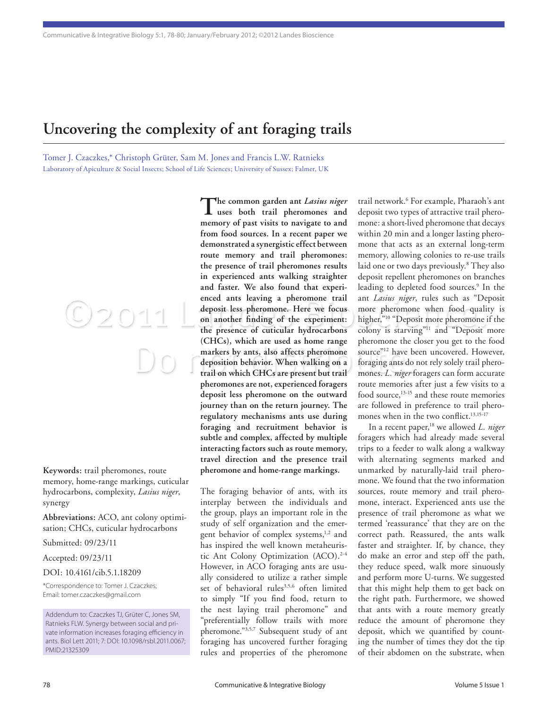## **Uncovering the complexity of ant foraging trails**

Tomer J. Czaczkes,\* Christoph Grüter, Sam M. Jones and Francis L.W. Ratnieks Laboratory of Apiculture & Social Insects; School of Life Sciences; University of Sussex; Falmer, UK

**Keywords:** trail pheromones, route memory, home-range markings, cuticular hydrocarbons, complexity, *Lasius niger*, synergy

 $O2011$ 

**Abbreviations:** ACO, ant colony optimisation; CHCs, cuticular hydrocarbons

Submitted: 09/23/11

Accepted: 09/23/11

DOI: 10.4161/cib.5.1.18209

\*Correspondence to: Tomer J. Czaczkes; Email: tomer.czaczkes@gmail.com

Addendum to: Czaczkes TJ, Grüter C, Jones SM, Ratnieks FLW. Synergy between social and private information increases foraging efficiency in ants. Biol Lett 2011; 7: DOI: 10.1098/rsbl.2011.0067; PMID:21325309

The notation behavior. When walking on a foraging ants do not rely<br>trail on which CHCs are present but trail **mones**. L. niger foragers of **The common garden ant** *Lasius niger* **uses both trail pheromones and memory of past visits to navigate to and from food sources. In a recent paper we demonstrated a synergistic effect between route memory and trail pheromones: the presence of trail pheromones results in experienced ants walking straighter and faster. We also found that experienced ants leaving a pheromone trail deposit less pheromone. Here we focus on another finding of the experiment: the presence of cuticular hydrocarbons (CHCs), which are used as home range markers by ants, also affects pheromone deposition behavior. When walking on a pheromones are not, experienced foragers deposit less pheromone on the outward journey than on the return journey. The regulatory mechanisms ants use during foraging and recruitment behavior is subtle and complex, affected by multiple interacting factors such as route memory, travel direction and the presence trail pheromone and home-range markings.**

> The foraging behavior of ants, with its interplay between the individuals and the group, plays an important role in the study of self organization and the emergent behavior of complex systems,<sup>1,2</sup> and has inspired the well known metaheuristic Ant Colony Optimization (ACO).<sup>2-4</sup> However, in ACO foraging ants are usually considered to utilize a rather simple set of behavioral rules<sup>3,5,6</sup> often limited to simply "If you find food, return to the nest laying trail pheromone" and "preferentially follow trails with more pheromone."3,5,7 Subsequent study of ant foraging has uncovered further foraging rules and properties of the pheromone

trail network.6 For example, Pharaoh's ant deposit two types of attractive trail pheromone: a short-lived pheromone that decays within 20 min and a longer lasting pheromone that acts as an external long-term memory, allowing colonies to re-use trails laid one or two days previously.8 They also deposit repellent pheromones on branches leading to depleted food sources.<sup>9</sup> In the ant *Lasius niger*, rules such as "Deposit more pheromone when food quality is higher,"10 "Deposit more pheromone if the colony is starving"11 and "Deposit more pheromone the closer you get to the food source"<sup>12</sup> have been uncovered. However, foraging ants do not rely solely trail pheromones. *L. niger* foragers can form accurate route memories after just a few visits to a food source,<sup>13-15</sup> and these route memories are followed in preference to trail pheromones when in the two conflict.<sup>13,15-17</sup>

In a recent paper,<sup>18</sup> we allowed *L. niger* foragers which had already made several trips to a feeder to walk along a walkway with alternating segments marked and unmarked by naturally-laid trail pheromone. We found that the two information sources, route memory and trail pheromone, interact. Experienced ants use the presence of trail pheromone as what we termed 'reassurance' that they are on the correct path. Reassured, the ants walk faster and straighter. If, by chance, they do make an error and step off the path, they reduce speed, walk more sinuously and perform more U-turns. We suggested that this might help them to get back on the right path. Furthermore, we showed that ants with a route memory greatly reduce the amount of pheromone they deposit, which we quantified by counting the number of times they dot the tip of their abdomen on the substrate, when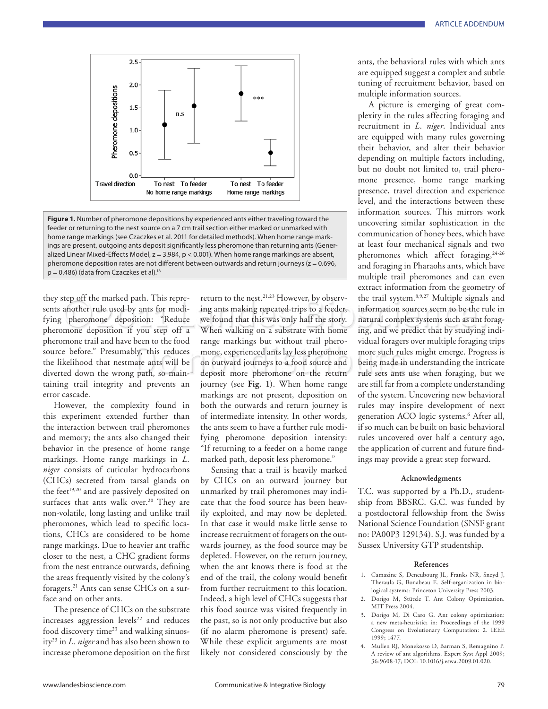

**Figure 1.** Number of pheromone depositions by experienced ants either traveling toward the feeder or returning to the nest source on a 7 cm trail section either marked or unmarked with home range markings (see Czaczkes et al. 2011 for detailed methods). When home range markings are present, outgoing ants deposit significantly less pheromone than returning ants (Generalized Linear Mixed-Effects Model, z = 3.984, p < 0.001). When home range markings are absent, pheromone deposition rates are not different between outwards and return journeys ( $z = 0.696$ ,  $p = 0.486$ ) (data from Czaczkes et al).<sup>18</sup>

they step off the marked path. This represents another rule used by ants for modifying pheromone deposition: "Reduce pheromone deposition if you step off a pheromone trail and have been to the food source before." Presumably, this reduces the likelihood that nestmate ants will be diverted down the wrong path, so maintaining trail integrity and prevents an error cascade.

However, the complexity found in this experiment extended further than the interaction between trail pheromones and memory; the ants also changed their behavior in the presence of home range markings. Home range markings in *L. niger* consists of cuticular hydrocarbons (CHCs) secreted from tarsal glands on the feet<sup>19,20</sup> and are passively deposited on surfaces that ants walk over.<sup>20</sup> They are non-volatile, long lasting and unlike trail pheromones, which lead to specific locations, CHCs are considered to be home range markings. Due to heavier ant traffic closer to the nest, a CHC gradient forms from the nest entrance outwards, defining the areas frequently visited by the colony's foragers.21 Ants can sense CHCs on a surface and on other ants.

The presence of CHCs on the substrate increases aggression levels<sup>22</sup> and reduces food discovery time<sup>23</sup> and walking sinuosity23 in *L. niger* and has also been shown to increase pheromone deposition on the first

Step off the marked path. This repre-<br>another rule used by ants for modi-<br>pheromone deposition: "Reduce we found that this was only half the story. Internation sources seem to be the rule in<br>pheromone deposition: "Reduce w been to the food hange markings but whilout than phero-<br>hy, this reduces mone, experienced ants lay less pheromone more such rules might entate ants will be on outward journeys to a food source and being made in understan<br> return to the nest.<sup>21,23</sup> However, by observing ants making repeated trips to a feeder, we found that this was only half the story. When walking on a substrate with home range markings but without trail pheromone, experienced ants lay less pheromone on outward journeys to a food source and deposit more pheromone on the return journey (see **Fig. 1**). When home range markings are not present, deposition on both the outwards and return journey is of intermediate intensity. In other words, the ants seem to have a further rule modifying pheromone deposition intensity: "If returning to a feeder on a home range marked path, deposit less pheromone."

> Sensing that a trail is heavily marked by CHCs on an outward journey but unmarked by trail pheromones may indicate that the food source has been heavily exploited, and may now be depleted. In that case it would make little sense to increase recruitment of foragers on the outwards journey, as the food source may be depleted. However, on the return journey, when the ant knows there is food at the end of the trail, the colony would benefit from further recruitment to this location. Indeed, a high level of CHCs suggests that this food source was visited frequently in the past, so is not only productive but also (if no alarm pheromone is present) safe. While these explicit arguments are most likely not considered consciously by the

ants, the behavioral rules with which ants are equipped suggest a complex and subtle tuning of recruitment behavior, based on multiple information sources.

A picture is emerging of great complexity in the rules affecting foraging and recruitment in *L. niger*. Individual ants are equipped with many rules governing their behavior, and alter their behavior depending on multiple factors including, but no doubt not limited to, trail pheromone presence, home range marking presence, travel direction and experience level, and the interactions between these information sources. This mirrors work uncovering similar sophistication in the communication of honey bees, which have at least four mechanical signals and two pheromones which affect foraging,<sup>24-26</sup> and foraging in Pharaohs ants, which have multiple trail pheromones and can even extract information from the geometry of the trail system.8,9,27 Multiple signals and information sources seem to be the rule in natural complex systems such as ant foraging, and we predict that by studying individual foragers over multiple foraging trips more such rules might emerge. Progress is being made in understanding the intricate rule sets ants use when foraging, but we are still far from a complete understanding of the system. Uncovering new behavioral rules may inspire development of next generation ACO logic systems.6 After all, if so much can be built on basic behavioral rules uncovered over half a century ago, the application of current and future findings may provide a great step forward.

## **Acknowledgments**

T.C. was supported by a Ph.D., studentship from BBSRC. G.C. was funded by a postdoctoral fellowship from the Swiss National Science Foundation (SNSF grant no: PA00P3 129134). S.J. was funded by a Sussex University GTP studentship.

## **References**

- 1. Camazine S, Deneubourg JL, Franks NR, Sneyd J, Theraula G, Bonabeau E. Self-organization in biological systems: Princeton University Press 2003.
- 2. Dorigo M, Stützle T. Ant Colony Optimization. MIT Press 2004.
- 3. Dorigo M, Di Caro G. Ant colony optimization: a new meta-heuristic; in: Proceedings of the 1999 Congress on Evolutionary Computation: 2. IEEE 1999; 1477.
- 4. Mullen RJ, Monekosso D, Barman S, Remagnino P. A review of ant algorithms. Expert Syst Appl 2009; 36:9608-17; DOI: 10.1016/j.eswa.2009.01.020.